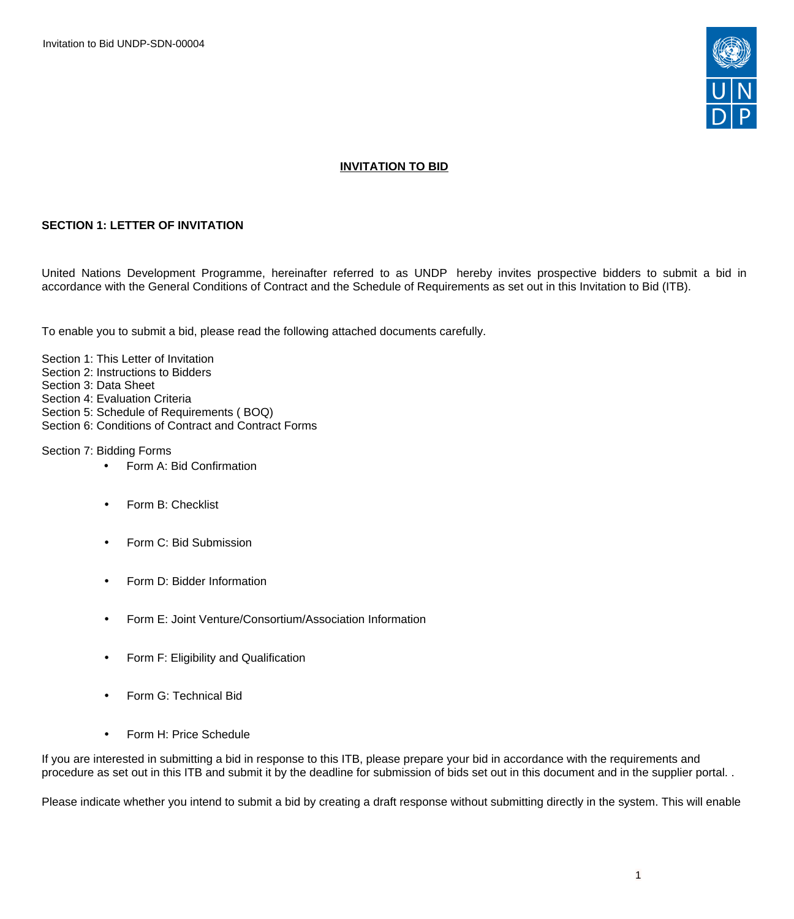Invitation to Bid UNDP-SDN-00004



## **INVITATION TO BID**

### **SECTION 1: LETTER OF INVITATION**

United Nations Development Programme, hereinafter referred to as UNDP hereby invites prospective bidders to submit a bid in accordance with the General Conditions of Contract and the Schedule of Requirements as set out in this Invitation to Bid (ITB).

To enable you to submit a bid, please read the following attached documents carefully.

Section 1: This Letter of Invitation Section 2: Instructions to Bidders Section 3: Data Sheet Section 4: Evaluation Criteria Section 5: Schedule of Requirements ( BOQ) Section 6: Conditions of Contract and Contract Forms

Section 7: Bidding Forms

- Form A: Bid Confirmation
- Form B: Checklist
- Form C: Bid Submission
- Form D: Bidder Information
- Form E: Joint Venture/Consortium/Association Information
- Form F: Eligibility and Qualification
- Form G: Technical Bid
- Form H: Price Schedule

If you are interested in submitting a bid in response to this ITB, please prepare your bid in accordance with the requirements and procedure as set out in this ITB and submit it by the deadline for submission of bids set out in this document and in the supplier portal. .

Please indicate whether you intend to submit a bid by creating a draft response without submitting directly in the system. This will enable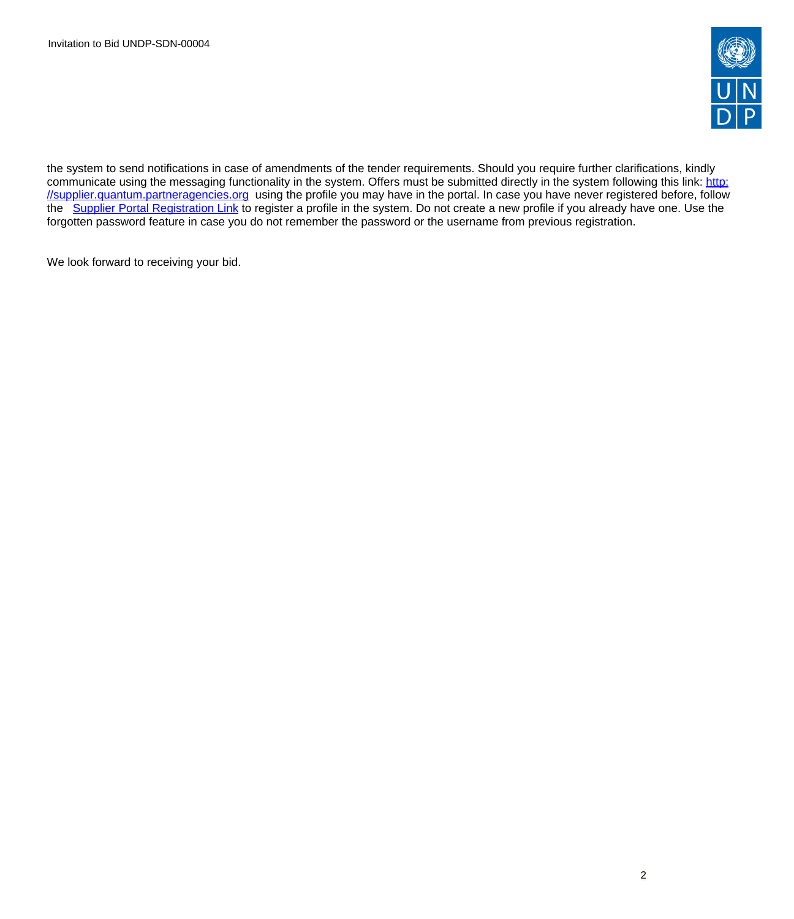

the system to send notifications in case of amendments of the tender requirements. Should you require further clarifications, kindly communicate using the messaging functionality in the system. Offers must be submitted directly in the system following this link: [http:](http://supplier.quantum.partneragencies.org) [//supplier.quantum.partneragencies.org](http://supplier.quantum.partneragencies.org) using the profile you may have in the portal. In case you have never registered before, follow the [Supplier Portal Registration Link](https://estm.fa.em2.oraclecloud.com/fscmUI/faces/PrcPosRegisterSupplier?prcBuId=300000127715297&_adf.ctrl-state=azywmctp_1&_afrLoop=6329722925931702&_afrWindowMode=0&_afrWindowId=null&_afrFS=16&_afrMT=screen&_afrMFW=1042&_afrMFH=575&_afrMFDW=1280&_afrMFDH=720&_afrMFC=8&_afrMFCI=0&_afrMFM=0&_afrMFR=144&_afrMFG=0&_afrMFS=0&_afrMFO=0) to register a profile in the system. Do not create a new profile if you already have one. Use the forgotten password feature in case you do not remember the password or the username from previous registration.

We look forward to receiving your bid.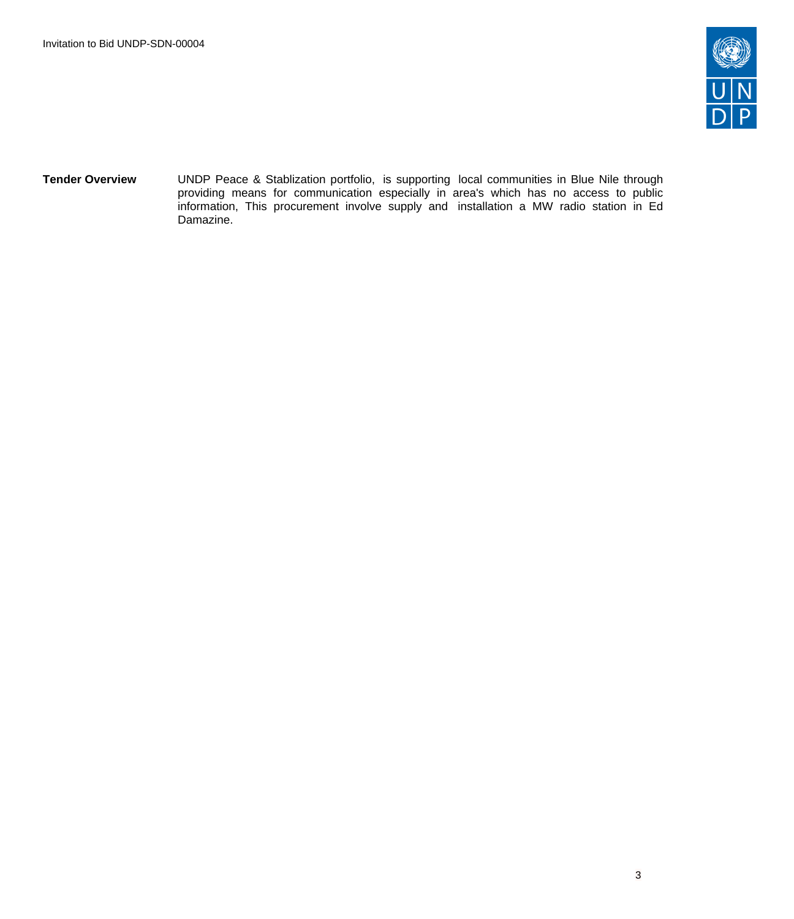

**Tender Overview** UNDP Peace & Stablization portfolio, is supporting local communities in Blue Nile through providing means for communication especially in area's which has no access to public information, This procurement involve supply and installation a MW radio station in Ed Damazine.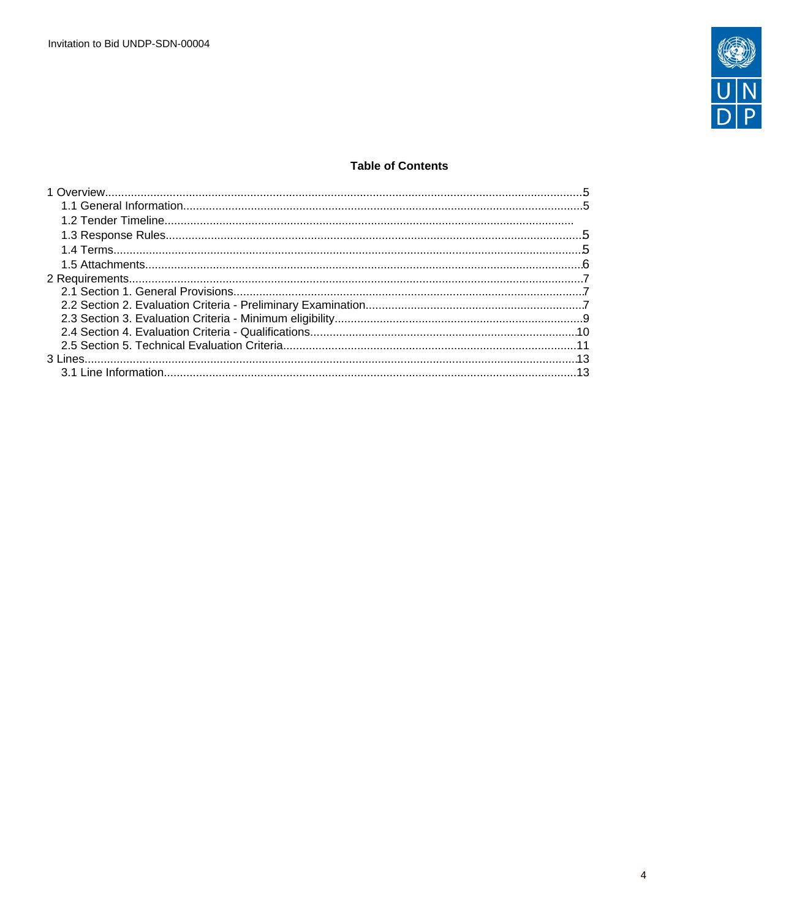

## **Table of Contents**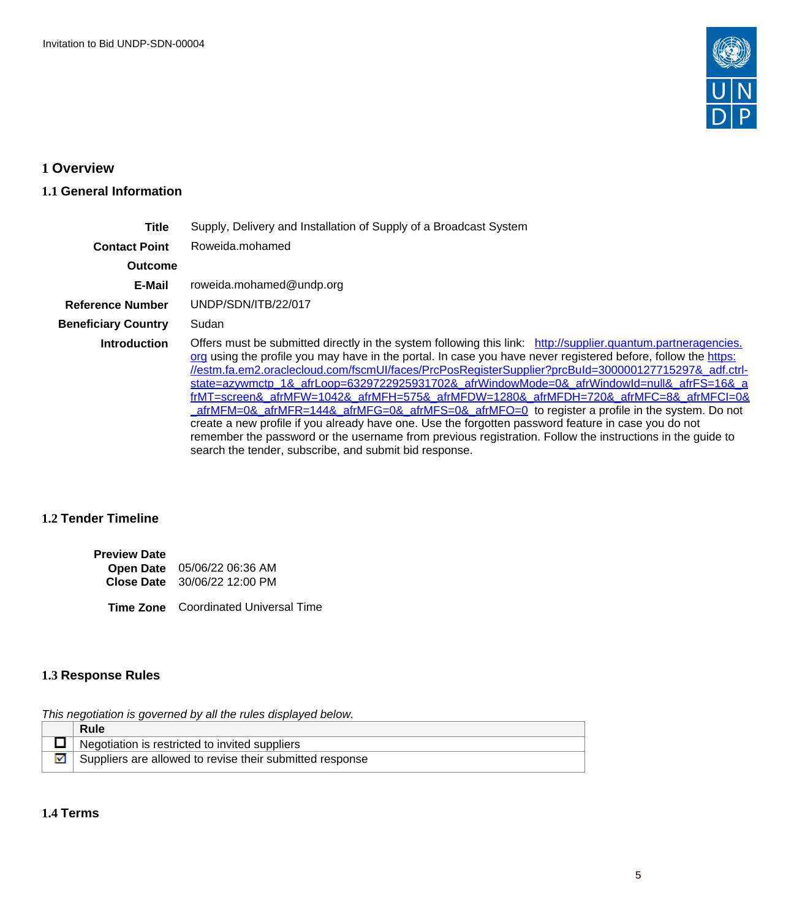

# <span id="page-4-0"></span>**1 Overview**

## <span id="page-4-1"></span>**1.1 General Information**

| <b>Title</b>               | Supply, Delivery and Installation of Supply of a Broadcast System                                                                                                                                                                                                                                                                                                                                                                                                                                                                                                                                                                                                                                                                                                                                                                                                                                                            |  |
|----------------------------|------------------------------------------------------------------------------------------------------------------------------------------------------------------------------------------------------------------------------------------------------------------------------------------------------------------------------------------------------------------------------------------------------------------------------------------------------------------------------------------------------------------------------------------------------------------------------------------------------------------------------------------------------------------------------------------------------------------------------------------------------------------------------------------------------------------------------------------------------------------------------------------------------------------------------|--|
| <b>Contact Point</b>       | Roweida.mohamed                                                                                                                                                                                                                                                                                                                                                                                                                                                                                                                                                                                                                                                                                                                                                                                                                                                                                                              |  |
| <b>Outcome</b>             |                                                                                                                                                                                                                                                                                                                                                                                                                                                                                                                                                                                                                                                                                                                                                                                                                                                                                                                              |  |
| E-Mail                     | roweida.mohamed@undp.org                                                                                                                                                                                                                                                                                                                                                                                                                                                                                                                                                                                                                                                                                                                                                                                                                                                                                                     |  |
| Reference Number           | UNDP/SDN/ITB/22/017                                                                                                                                                                                                                                                                                                                                                                                                                                                                                                                                                                                                                                                                                                                                                                                                                                                                                                          |  |
| <b>Beneficiary Country</b> | Sudan                                                                                                                                                                                                                                                                                                                                                                                                                                                                                                                                                                                                                                                                                                                                                                                                                                                                                                                        |  |
| <b>Introduction</b>        | Offers must be submitted directly in the system following this link: http://supplier.quantum.partneragencies.<br>org using the profile you may have in the portal. In case you have never registered before, follow the https:<br>//estm.fa.em2.oraclecloud.com/fscmUI/faces/PrcPosRegisterSupplier?prcBuId=300000127715297& adf.ctrl-<br>state=azywmctp_1&_afrLoop=6329722925931702&_afrWindowMode=0&_afrWindowId=null&_afrFS=16&_a<br>frMT=screen& afrMFW=1042& afrMFH=575& afrMFDW=1280& afrMFDH=720& afrMFC=8& afrMFCI=0&<br>$a$ frMFM=0& $a$ frMFR=144& $a$ frMFG=0& $a$ frMFS=0& $a$ frMFO=0 to register a profile in the system. Do not<br>create a new profile if you already have one. Use the forgotten password feature in case you do not<br>remember the password or the username from previous registration. Follow the instructions in the guide to<br>search the tender, subscribe, and submit bid response. |  |

## **1.2 Tender Timeline**

| <b>Preview Date</b> |                              |
|---------------------|------------------------------|
|                     | Open Date 05/06/22 06:36 AM  |
|                     | Close Date 30/06/22 12:00 PM |

**Time Zone** Coordinated Universal Time

## <span id="page-4-2"></span>**1.3 Response Rules**

This negotiation is governed by all the rules displayed below.

| Rule                                                     |
|----------------------------------------------------------|
| Negotiation is restricted to invited suppliers           |
| Suppliers are allowed to revise their submitted response |

# <span id="page-4-3"></span>**1.4 Terms**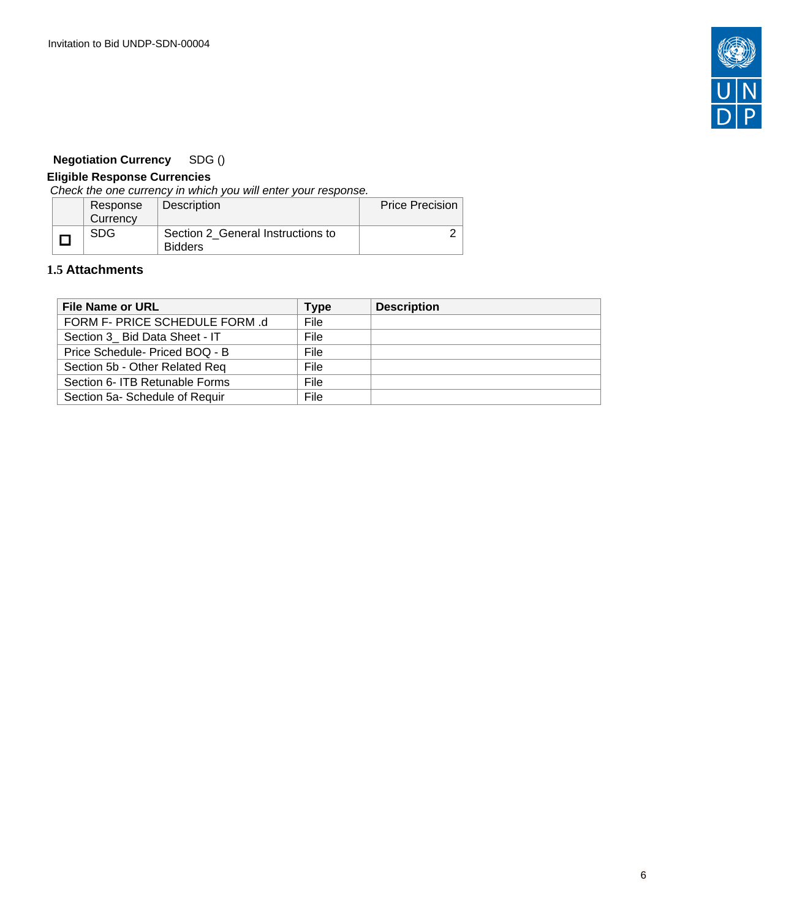

# **Negotiation Currency** SDG ()

# **Eligible Response Currencies**

Check the one currency in which you will enter your response.

| Response | Description                                         | <b>Price Precision</b> |
|----------|-----------------------------------------------------|------------------------|
| Currency |                                                     |                        |
| SDG      | Section 2 General Instructions to<br><b>Bidders</b> |                        |

## <span id="page-5-0"></span>**1.5 Attachments**

| <b>File Name or URL</b>        | Type        | <b>Description</b> |
|--------------------------------|-------------|--------------------|
| FORM F- PRICE SCHEDULE FORM .d | File        |                    |
| Section 3 Bid Data Sheet - IT  | File        |                    |
| Price Schedule- Priced BOQ - B | File        |                    |
| Section 5b - Other Related Req | <b>File</b> |                    |
| Section 6- ITB Retunable Forms | <b>File</b> |                    |
| Section 5a- Schedule of Requir | File        |                    |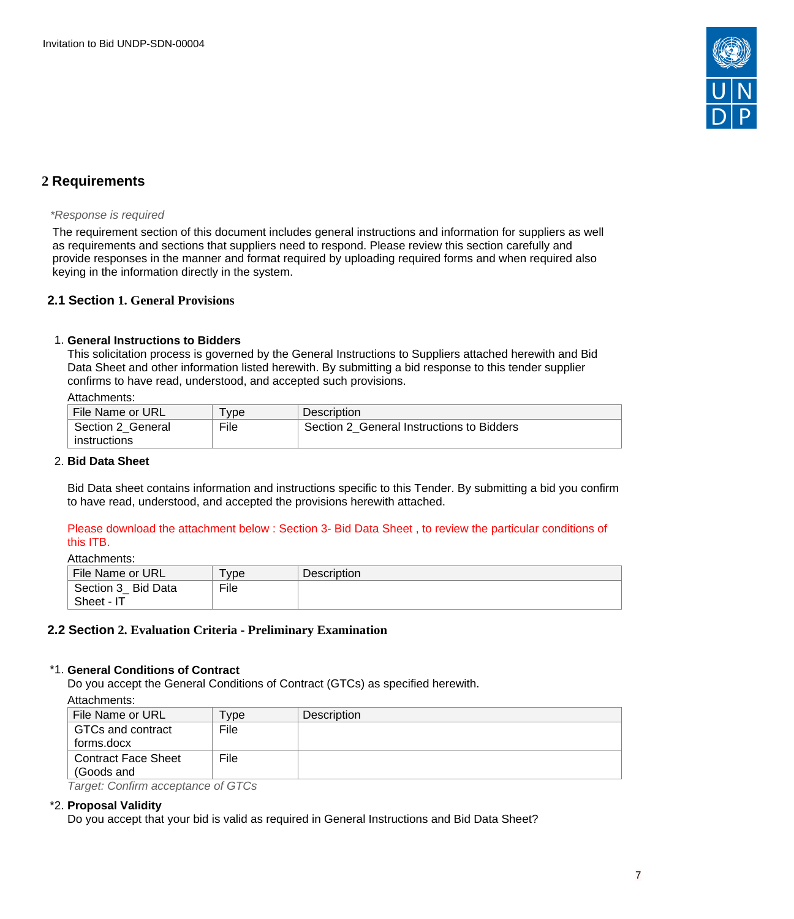

# <span id="page-6-0"></span>**2 Requirements**

#### \*Response is required

The requirement section of this document includes general instructions and information for suppliers as well as requirements and sections that suppliers need to respond. Please review this section carefully and provide responses in the manner and format required by uploading required forms and when required also keying in the information directly in the system.

## <span id="page-6-1"></span>**2.1 Section 1. General Provisions**

### 1. **General Instructions to Bidders**

This solicitation process is governed by the General Instructions to Suppliers attached herewith and Bid Data Sheet and other information listed herewith. By submitting a bid response to this tender supplier confirms to have read, understood, and accepted such provisions.

#### Attachments:

| File Name or URL  | vpe  | Description                               |
|-------------------|------|-------------------------------------------|
| Section 2 General | File | Section 2 General Instructions to Bidders |
| instructions      |      |                                           |

#### 2. **Bid Data Sheet**

Bid Data sheet contains information and instructions specific to this Tender. By submitting a bid you confirm to have read, understood, and accepted the provisions herewith attached.

### Please download the attachment below : Section 3- Bid Data Sheet , to review the particular conditions of this ITB.

Attachments:

| File Name or URL    | 'ype | <b>Description</b> |
|---------------------|------|--------------------|
| Section 3_ Bid Data | File |                    |
| Sheet - IT          |      |                    |

## <span id="page-6-2"></span>**2.2 Section 2. Evaluation Criteria - Preliminary Examination**

#### \*1. **General Conditions of Contract**

Do you accept the General Conditions of Contract (GTCs) as specified herewith.

Attachments:

| .                   |            |             |
|---------------------|------------|-------------|
| File Name or URL    | <b>vpe</b> | Description |
| GTCs and contract   | File       |             |
| forms.docx          |            |             |
| Contract Face Sheet | File       |             |
| (Goods and          |            |             |
|                     | $\sim -1$  |             |

Target: Confirm acceptance of GTCs

#### \*2. **Proposal Validity**

Do you accept that your bid is valid as required in General Instructions and Bid Data Sheet?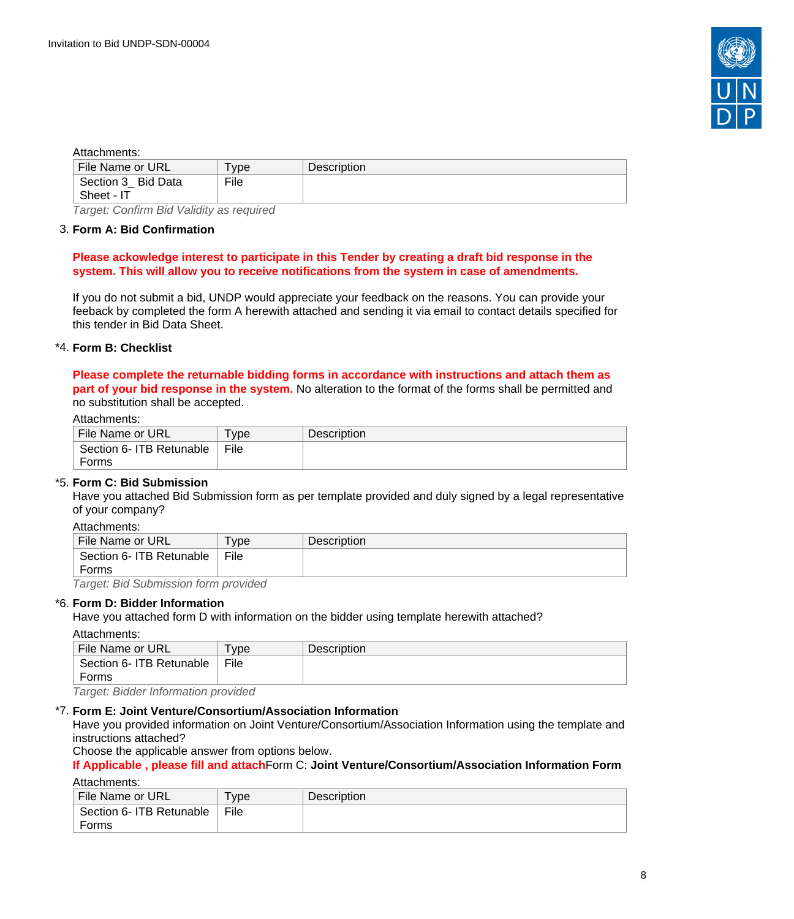

#### Attachments:

| File Name or URL                                                               | vpe <sup>-</sup> | <b>Description</b> |
|--------------------------------------------------------------------------------|------------------|--------------------|
| Section 3 Bid Data                                                             | File             |                    |
| Sheet - IT                                                                     |                  |                    |
| $\overline{\phantom{a}}$<br>$\sim$ $\sim$ $\sim$ $\sim$<br>___________________ |                  |                    |

Target: Confirm Bid Validity as required

#### 3. **Form A: Bid Confirmation**

#### **Please ackowledge interest to participate in this Tender by creating a draft bid response in the system. This will allow you to receive notifications from the system in case of amendments.**

If you do not submit a bid, UNDP would appreciate your feedback on the reasons. You can provide your feeback by completed the form A herewith attached and sending it via email to contact details specified for this tender in Bid Data Sheet.

### \*4. **Form B: Checklist**

**Please complete the returnable bidding forms in accordance with instructions and attach them as part of your bid response in the system.** No alteration to the format of the forms shall be permitted and no substitution shall be accepted.

#### Attachments:

| File Name or URL         | vpe <sup>'</sup> | <b>Description</b> |
|--------------------------|------------------|--------------------|
| Section 6- ITB Retunable | File             |                    |
| Forms                    |                  |                    |

#### \*5. **Form C: Bid Submission**

Have you attached Bid Submission form as per template provided and duly signed by a legal representative of your company?

Attachments:

| File Name or URL         | <b>vpe</b> | <b>Description</b> |
|--------------------------|------------|--------------------|
| Section 6- ITB Retunable | File       |                    |
| Forms                    |            |                    |

Target: Bid Submission form provided

#### \*6. **Form D: Bidder Information**

Have you attached form D with information on the bidder using template herewith attached?

#### Attachments:

| File Name or URL                              | ' vpe | <b>Description</b> |
|-----------------------------------------------|-------|--------------------|
| Section 6- ITB Retunable                      | File  |                    |
| Forms                                         |       |                    |
| . Taunah, Dislalan bafamoo aliang musiisla sl |       |                    |

Target: Bidder Information provided

#### \*7. **Form E: Joint Venture/Consortium/Association Information**

Have you provided information on Joint Venture/Consortium/Association Information using the template and instructions attached?

Choose the applicable answer from options below.

#### **If Applicable , please fill and attach**Form C: **Joint Venture/Consortium/Association Information Form** Attachments:

| File Name or URL         | -<br>' vpe | <b>Description</b> |
|--------------------------|------------|--------------------|
| Section 6- ITB Retunable | File       |                    |
| Forms                    |            |                    |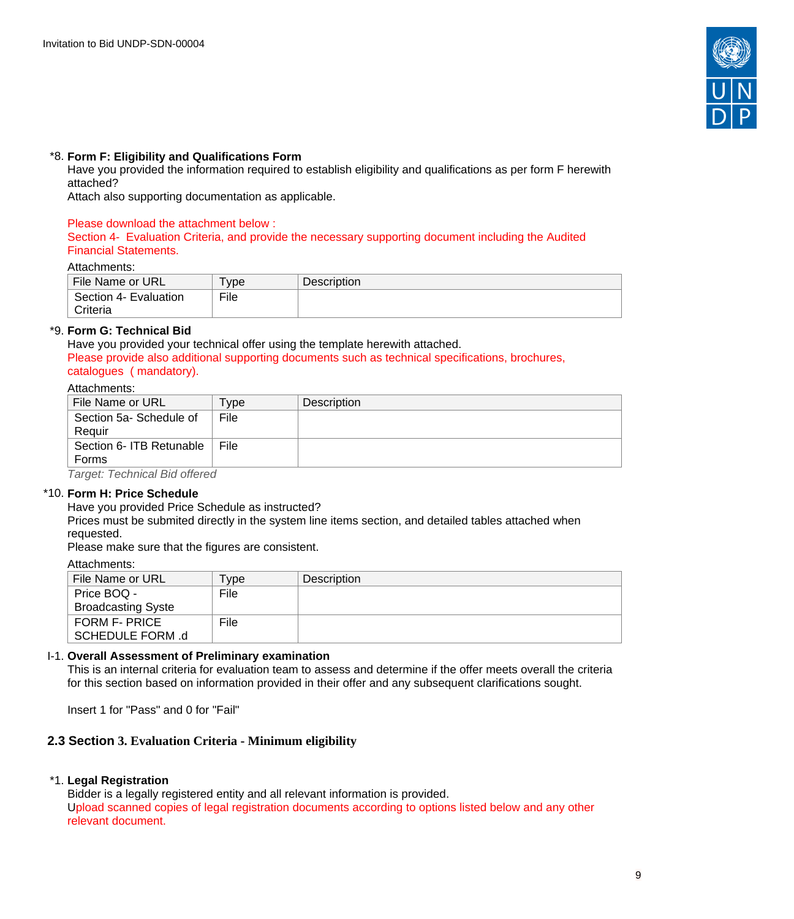

### \*8. **Form F: Eligibility and Qualifications Form**

Have you provided the information required to establish eligibility and qualifications as per form F herewith attached?

Attach also supporting documentation as applicable.

#### Please download the attachment below :

Section 4- Evaluation Criteria, and provide the necessary supporting document including the Audited Financial Statements.

#### Attachments:

| File Name or URL      | vpe  | <b>Description</b> |
|-----------------------|------|--------------------|
| Section 4- Evaluation | File |                    |
| Criteria              |      |                    |

### \*9. **Form G: Technical Bid**

Have you provided your technical offer using the template herewith attached. Please provide also additional supporting documents such as technical specifications, brochures, catalogues ( mandatory).

#### Attachments:

| File Name or URL                             | ype  | <b>Description</b> |
|----------------------------------------------|------|--------------------|
| Section 5a-Schedule of                       | File |                    |
| Reauir                                       |      |                    |
| Section 6- ITB Retunable                     | File |                    |
| Forms                                        |      |                    |
| $\tau$ annati $\tau$ a abinta al Dista $\mu$ |      |                    |

Target: Technical Bid offered

## \*10. **Form H: Price Schedule**

Have you provided Price Schedule as instructed?

Prices must be submited directly in the system line items section, and detailed tables attached when requested.

Please make sure that the figures are consistent.

| Attachments: |
|--------------|
|--------------|

| File Name or URL          | Туре | <b>Description</b> |
|---------------------------|------|--------------------|
| Price BOQ -               | File |                    |
| <b>Broadcasting Syste</b> |      |                    |
| FORM F- PRICE             | File |                    |
| SCHEDULE FORM .d          |      |                    |

#### I-1. **Overall Assessment of Preliminary examination**

This is an internal criteria for evaluation team to assess and determine if the offer meets overall the criteria for this section based on information provided in their offer and any subsequent clarifications sought.

Insert 1 for "Pass" and 0 for "Fail"

## <span id="page-8-0"></span>**2.3 Section 3. Evaluation Criteria - Minimum eligibility**

#### \*1. **Legal Registration**

Bidder is a legally registered entity and all relevant information is provided. Upload scanned copies of legal registration documents according to options listed below and any other relevant document.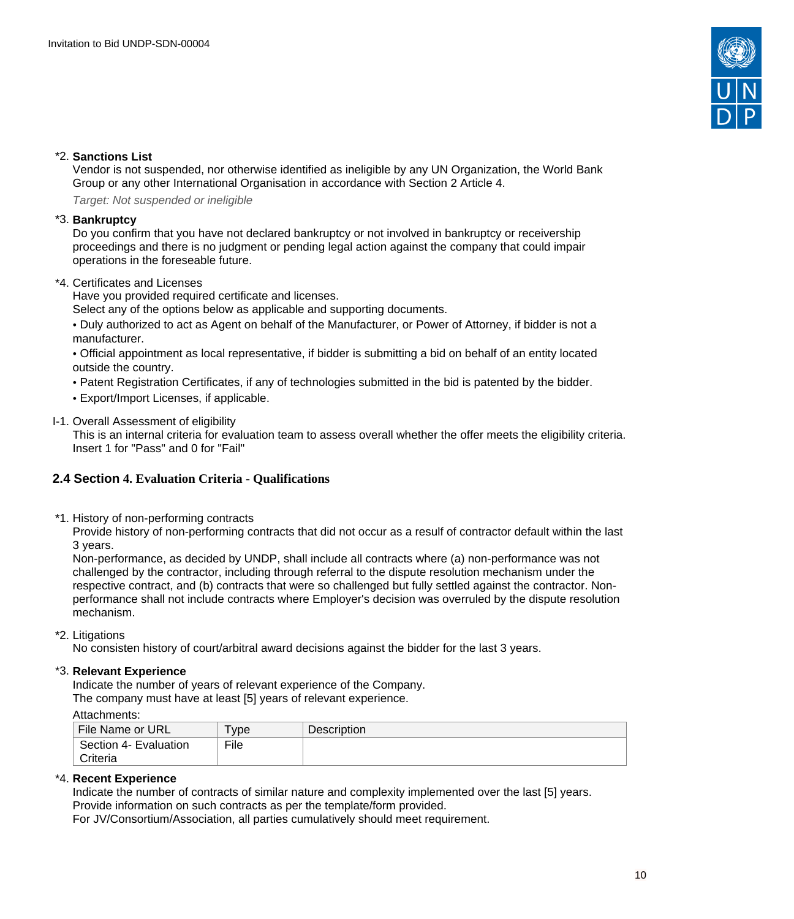

### \*2. **Sanctions List**

Vendor is not suspended, nor otherwise identified as ineligible by any UN Organization, the World Bank Group or any other International Organisation in accordance with Section 2 Article 4.

Target: Not suspended or ineligible

#### \*3. **Bankruptcy**

Do you confirm that you have not declared bankruptcy or not involved in bankruptcy or receivership proceedings and there is no judgment or pending legal action against the company that could impair operations in the foreseable future.

\*4. Certificates and Licenses

Have you provided required certificate and licenses.

Select any of the options below as applicable and supporting documents.

• Duly authorized to act as Agent on behalf of the Manufacturer, or Power of Attorney, if bidder is not a manufacturer.

• Official appointment as local representative, if bidder is submitting a bid on behalf of an entity located outside the country.

- Patent Registration Certificates, if any of technologies submitted in the bid is patented by the bidder.
- Export/Import Licenses, if applicable.
- I-1. Overall Assessment of eligibility

This is an internal criteria for evaluation team to assess overall whether the offer meets the eligibility criteria. Insert 1 for "Pass" and 0 for "Fail"

## <span id="page-9-0"></span>**2.4 Section 4. Evaluation Criteria - Qualifications**

\*1. History of non-performing contracts

Provide history of non-performing contracts that did not occur as a resulf of contractor default within the last 3 years.

Non-performance, as decided by UNDP, shall include all contracts where (a) non-performance was not challenged by the contractor, including through referral to the dispute resolution mechanism under the respective contract, and (b) contracts that were so challenged but fully settled against the contractor. Nonperformance shall not include contracts where Employer's decision was overruled by the dispute resolution mechanism.

\*2. Litigations

No consisten history of court/arbitral award decisions against the bidder for the last 3 years.

#### \*3. **Relevant Experience**

Indicate the number of years of relevant experience of the Company.

The company must have at least [5] years of relevant experience.

#### Attachments:

| File Name or URL      | 'ype | Description |
|-----------------------|------|-------------|
| Section 4- Evaluation | File |             |
| Criteria              |      |             |

#### \*4. **Recent Experience**

Indicate the number of contracts of similar nature and complexity implemented over the last [5] years. Provide information on such contracts as per the template/form provided.

For JV/Consortium/Association, all parties cumulatively should meet requirement.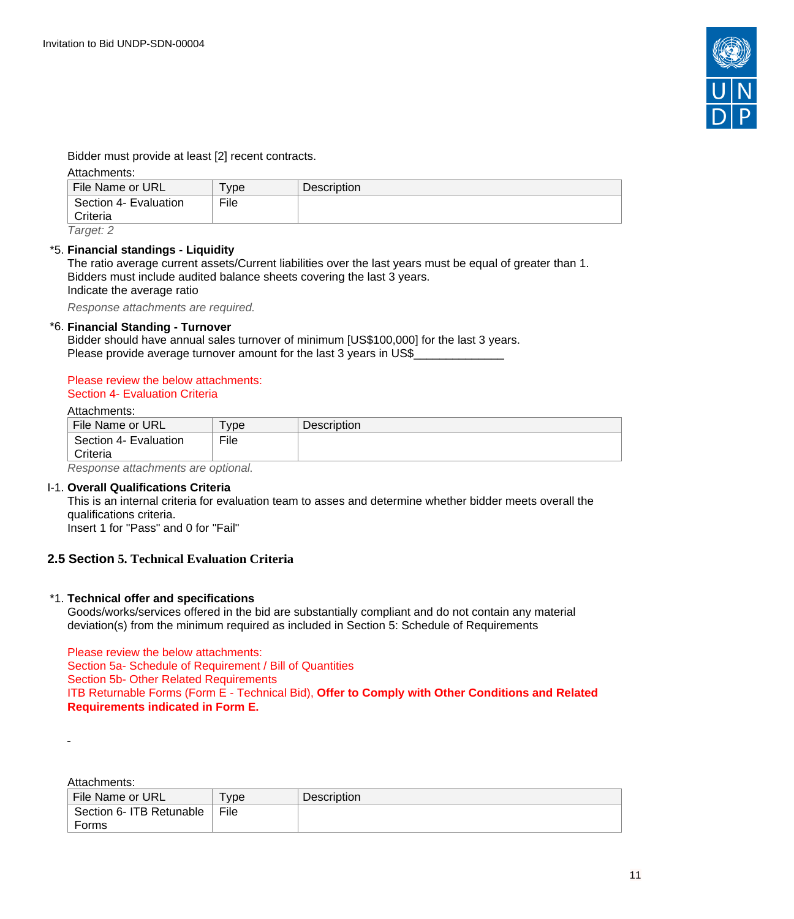

Bidder must provide at least [2] recent contracts.

Attachments:

| File Name or URL      | ' vpe | <b>Description</b> |
|-----------------------|-------|--------------------|
| Section 4- Evaluation | File  |                    |
| Criteria              |       |                    |
| $T = 0.00010$         |       |                    |

Target: 2

### \*5. **Financial standings - Liquidity**

The ratio average current assets/Current liabilities over the last years must be equal of greater than 1. Bidders must include audited balance sheets covering the last 3 years. Indicate the average ratio

Response attachments are required*.*

### \*6. **Financial Standing - Turnover**

Bidder should have annual sales turnover of minimum [US\$100,000] for the last 3 years. Please provide average turnover amount for the last 3 years in US\$

#### Please review the below attachments: Section 4- Evaluation Criteria

#### Attachments:

| File Name or URL      | ' vpe | <b>Description</b> |
|-----------------------|-------|--------------------|
| Section 4- Evaluation | File  |                    |
| Criteria              |       |                    |

Response attachments are optional*.*

#### I-1. **Overall Qualifications Criteria**

This is an internal criteria for evaluation team to asses and determine whether bidder meets overall the qualifications criteria. Insert 1 for "Pass" and 0 for "Fail"

## <span id="page-10-0"></span>**2.5 Section 5. Technical Evaluation Criteria**

#### \*1. **Technical offer and specifications**

Goods/works/services offered in the bid are substantially compliant and do not contain any material deviation(s) from the minimum required as included in Section 5: Schedule of Requirements

Please review the below attachments: Section 5a- Schedule of Requirement / Bill of Quantities Section 5b- Other Related Requirements ITB Returnable Forms (Form E - Technical Bid), **Offer to Comply with Other Conditions and Related Requirements indicated in Form E.** 

Attachments:

| File Name or URL         | <b>vpe</b> | <b>Description</b> |
|--------------------------|------------|--------------------|
| Section 6- ITB Retunable | File       |                    |
| Forms                    |            |                    |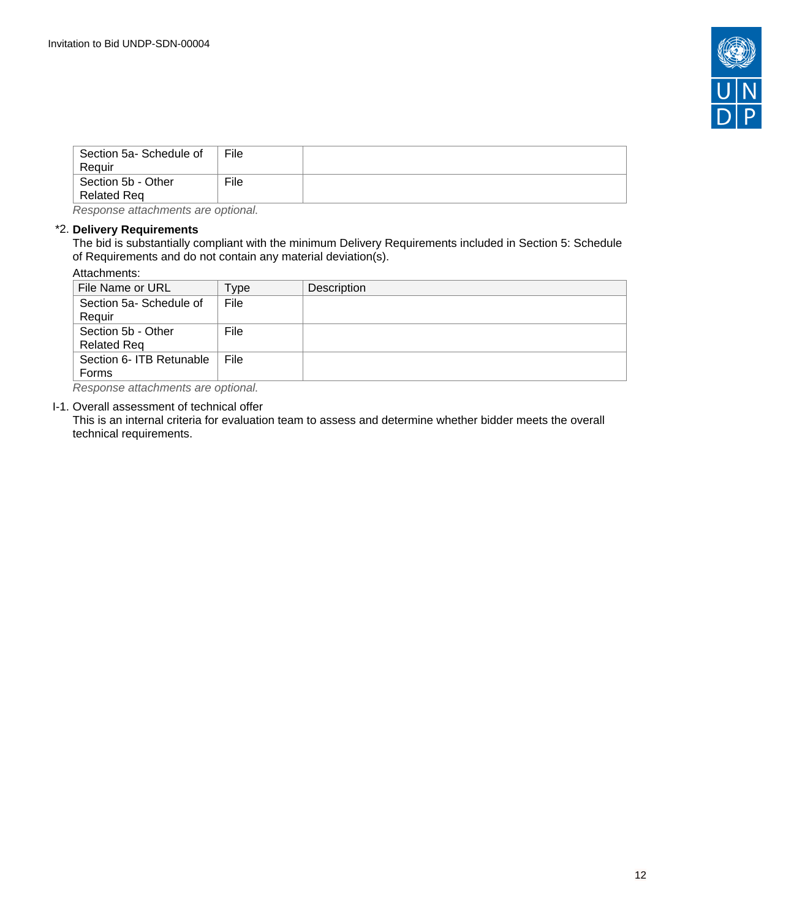

| Section 5a- Schedule of<br>Reauir | File |  |
|-----------------------------------|------|--|
| Section 5b - Other<br>Related Req | File |  |

Response attachments are optional*.*

### \*2. **Delivery Requirements**

The bid is substantially compliant with the minimum Delivery Requirements included in Section 5: Schedule of Requirements and do not contain any material deviation(s).

#### Attachments:

| File Name or URL                         | Type | Description |
|------------------------------------------|------|-------------|
| Section 5a-Schedule of<br>Requir         | File |             |
| Section 5b - Other<br><b>Related Req</b> | File |             |
| Section 6- ITB Retunable<br>Forms        | File |             |
| Desusanse allesburgule eus aufsust       |      |             |

Response attachments are optional*.*

#### I-1. Overall assessment of technical offer

This is an internal criteria for evaluation team to assess and determine whether bidder meets the overall technical requirements.